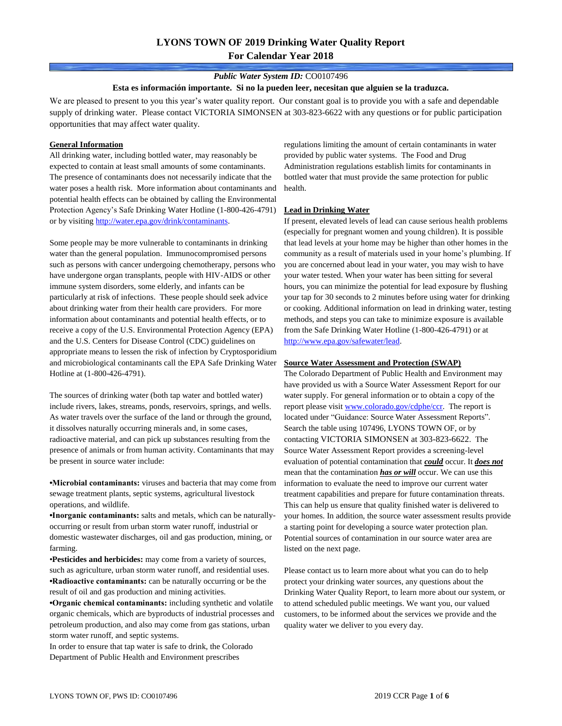### *Public Water System ID:* CO0107496

#### **Esta es información importante. Si no la pueden leer, necesitan que alguien se la traduzca.**

We are pleased to present to you this year's water quality report. Our constant goal is to provide you with a safe and dependable supply of drinking water. Please contact VICTORIA SIMONSEN at 303-823-6622 with any questions or for public participation opportunities that may affect water quality.

### **General Information**

All drinking water, including bottled water, may reasonably be expected to contain at least small amounts of some contaminants. The presence of contaminants does not necessarily indicate that the water poses a health risk. More information about contaminants and potential health effects can be obtained by calling the Environmental Protection Agency's Safe Drinking Water Hotline (1-800-426-4791) or by visiting [http://water.epa.gov/drink/contaminants.](http://water.epa.gov/drink/contaminants)

Some people may be more vulnerable to contaminants in drinking water than the general population. Immunocompromised persons such as persons with cancer undergoing chemotherapy, persons who have undergone organ transplants, people with HIV-AIDS or other immune system disorders, some elderly, and infants can be particularly at risk of infections. These people should seek advice about drinking water from their health care providers. For more information about contaminants and potential health effects, or to receive a copy of the U.S. Environmental Protection Agency (EPA) and the U.S. Centers for Disease Control (CDC) guidelines on appropriate means to lessen the risk of infection by Cryptosporidium and microbiological contaminants call the EPA Safe Drinking Water Hotline at (1-800-426-4791).

The sources of drinking water (both tap water and bottled water) include rivers, lakes, streams, ponds, reservoirs, springs, and wells. As water travels over the surface of the land or through the ground, it dissolves naturally occurring minerals and, in some cases, radioactive material, and can pick up substances resulting from the presence of animals or from human activity. Contaminants that may be present in source water include:

**•Microbial contaminants:** viruses and bacteria that may come from sewage treatment plants, septic systems, agricultural livestock operations, and wildlife.

**•Inorganic contaminants:** salts and metals, which can be naturallyoccurring or result from urban storm water runoff, industrial or domestic wastewater discharges, oil and gas production, mining, or farming.

•**Pesticides and herbicides:** may come from a variety of sources, such as agriculture, urban storm water runoff, and residential uses. **•Radioactive contaminants:** can be naturally occurring or be the result of oil and gas production and mining activities.

**•Organic chemical contaminants:** including synthetic and volatile organic chemicals, which are byproducts of industrial processes and petroleum production, and also may come from gas stations, urban storm water runoff, and septic systems.

In order to ensure that tap water is safe to drink, the Colorado Department of Public Health and Environment prescribes

regulations limiting the amount of certain contaminants in water provided by public water systems. The Food and Drug Administration regulations establish limits for contaminants in bottled water that must provide the same protection for public health.

### **Lead in Drinking Water**

If present, elevated levels of lead can cause serious health problems (especially for pregnant women and young children). It is possible that lead levels at your home may be higher than other homes in the community as a result of materials used in your home's plumbing. If you are concerned about lead in your water, you may wish to have your water tested. When your water has been sitting for several hours, you can minimize the potential for lead exposure by flushing your tap for 30 seconds to 2 minutes before using water for drinking or cooking. Additional information on lead in drinking water, testing methods, and steps you can take to minimize exposure is available from the Safe Drinking Water Hotline (1-800-426-4791) or at [http://www.epa.gov/safewater/lead.](http://www.epa.gov/safewater/lead) 

#### **Source Water Assessment and Protection (SWAP)**

The Colorado Department of Public Health and Environment may have provided us with a Source Water Assessment Report for our water supply. For general information or to obtain a copy of the report please visit [www.colorado.gov/cdphe/ccr.](https://www.colorado.gov/cdphe/ccr) The report is located under "Guidance: Source Water Assessment Reports". Search the table using 107496, LYONS TOWN OF, or by contacting VICTORIA SIMONSEN at 303-823-6622. The Source Water Assessment Report provides a screening-level evaluation of potential contamination that *could* occur. It *does not* mean that the contamination *has or will* occur. We can use this information to evaluate the need to improve our current water treatment capabilities and prepare for future contamination threats. This can help us ensure that quality finished water is delivered to your homes. In addition, the source water assessment results provide a starting point for developing a source water protection plan. Potential sources of contamination in our source water area are listed on the next page.

Please contact us to learn more about what you can do to help protect your drinking water sources, any questions about the Drinking Water Quality Report, to learn more about our system, or to attend scheduled public meetings. We want you, our valued customers, to be informed about the services we provide and the quality water we deliver to you every day.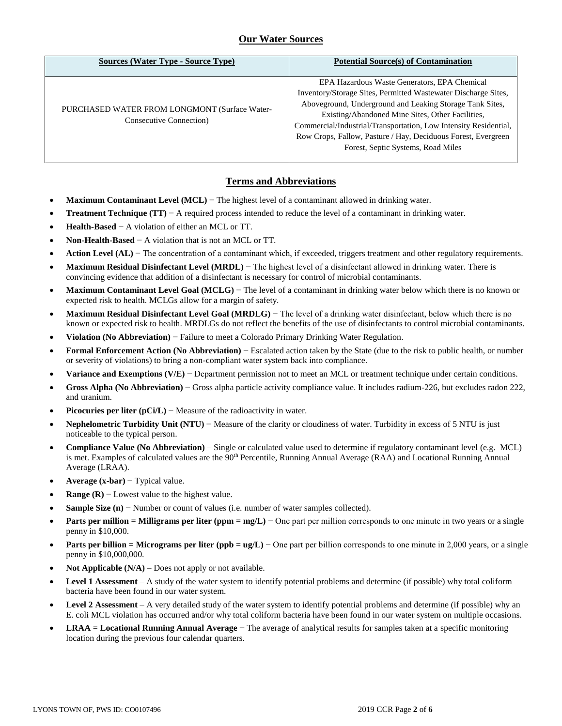## **Our Water Sources**

| <b>Sources (Water Type - Source Type)</b>                                        | <b>Potential Source(s) of Contamination</b>                                                                                                                                                                                                                                                                                                                                                               |
|----------------------------------------------------------------------------------|-----------------------------------------------------------------------------------------------------------------------------------------------------------------------------------------------------------------------------------------------------------------------------------------------------------------------------------------------------------------------------------------------------------|
| PURCHASED WATER FROM LONGMONT (Surface Water-<br><b>Consecutive Connection</b> ) | EPA Hazardous Waste Generators, EPA Chemical<br>Inventory/Storage Sites, Permitted Wastewater Discharge Sites,<br>Aboveground, Underground and Leaking Storage Tank Sites,<br>Existing/Abandoned Mine Sites, Other Facilities,<br>Commercial/Industrial/Transportation, Low Intensity Residential,<br>Row Crops, Fallow, Pasture / Hay, Deciduous Forest, Evergreen<br>Forest, Septic Systems, Road Miles |

# **Terms and Abbreviations**

- **Maximum Contaminant Level (MCL)** − The highest level of a contaminant allowed in drinking water.
- **Treatment Technique (TT)** − A required process intended to reduce the level of a contaminant in drinking water.
- **Health-Based** − A violation of either an MCL or TT.
- **Non-Health-Based** − A violation that is not an MCL or TT.
- **Action Level (AL)** − The concentration of a contaminant which, if exceeded, triggers treatment and other regulatory requirements.
- **Maximum Residual Disinfectant Level (MRDL)** − The highest level of a disinfectant allowed in drinking water. There is convincing evidence that addition of a disinfectant is necessary for control of microbial contaminants.
- **Maximum Contaminant Level Goal (MCLG)** − The level of a contaminant in drinking water below which there is no known or expected risk to health. MCLGs allow for a margin of safety.
- **Maximum Residual Disinfectant Level Goal (MRDLG)** − The level of a drinking water disinfectant, below which there is no known or expected risk to health. MRDLGs do not reflect the benefits of the use of disinfectants to control microbial contaminants.
- **Violation (No Abbreviation)** − Failure to meet a Colorado Primary Drinking Water Regulation.
- **Formal Enforcement Action (No Abbreviation)** − Escalated action taken by the State (due to the risk to public health, or number or severity of violations) to bring a non-compliant water system back into compliance.
- **Variance and Exemptions (V/E)** − Department permission not to meet an MCL or treatment technique under certain conditions.
- **Gross Alpha (No Abbreviation)** − Gross alpha particle activity compliance value. It includes radium-226, but excludes radon 222, and uranium.
- **Picocuries per liter (pCi/L)** − Measure of the radioactivity in water.
- **Nephelometric Turbidity Unit (NTU)** − Measure of the clarity or cloudiness of water. Turbidity in excess of 5 NTU is just noticeable to the typical person.
- **Compliance Value (No Abbreviation)** Single or calculated value used to determine if regulatory contaminant level (e.g. MCL) is met. Examples of calculated values are the 90<sup>th</sup> Percentile, Running Annual Average (RAA) and Locational Running Annual Average (LRAA).
- **Average (x-bar)** − Typical value.
- **Range (R)**  $-$  Lowest value to the highest value.
- **Sample Size (n)** − Number or count of values (i.e. number of water samples collected).
- **Parts per million = Milligrams per liter (ppm = mg/L)** − One part per million corresponds to one minute in two years or a single penny in \$10,000.
- **Parts per billion = Micrograms per liter (ppb = ug/L)** − One part per billion corresponds to one minute in 2,000 years, or a single penny in \$10,000,000.
- **Not Applicable**  $(N/A)$  **Does not apply or not available.**
- **Level 1 Assessment** A study of the water system to identify potential problems and determine (if possible) why total coliform bacteria have been found in our water system.
- **Level 2 Assessment** A very detailed study of the water system to identify potential problems and determine (if possible) why an E. coli MCL violation has occurred and/or why total coliform bacteria have been found in our water system on multiple occasions.
- **LRAA = Locational Running Annual Average** − The average of analytical results for samples taken at a specific monitoring location during the previous four calendar quarters.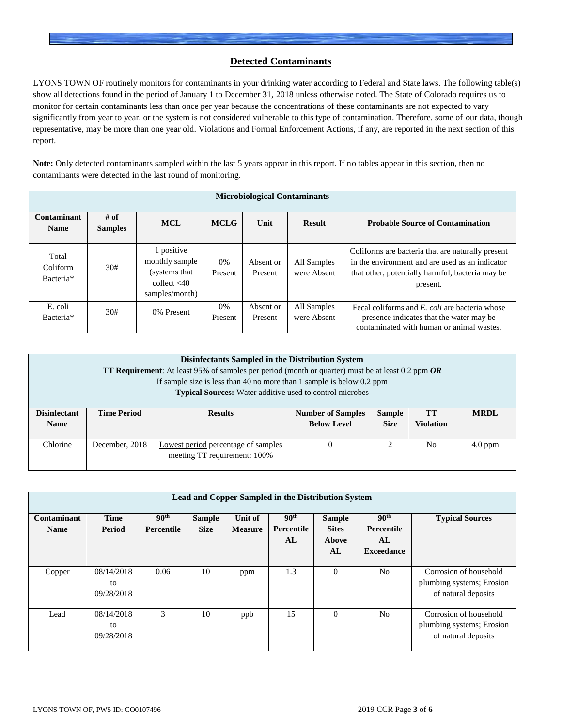## **Detected Contaminants**

LYONS TOWN OF routinely monitors for contaminants in your drinking water according to Federal and State laws. The following table(s) show all detections found in the period of January 1 to December 31, 2018 unless otherwise noted. The State of Colorado requires us to monitor for certain contaminants less than once per year because the concentrations of these contaminants are not expected to vary significantly from year to year, or the system is not considered vulnerable to this type of contamination. Therefore, some of our data, though representative, may be more than one year old. Violations and Formal Enforcement Actions, if any, are reported in the next section of this report.

**Note:** Only detected contaminants sampled within the last 5 years appear in this report. If no tables appear in this section, then no contaminants were detected in the last round of monitoring.

|                                | <b>Microbiological Contaminants</b> |                                                                                    |                  |                      |                            |                                                                                                                                                                      |  |  |  |  |  |  |
|--------------------------------|-------------------------------------|------------------------------------------------------------------------------------|------------------|----------------------|----------------------------|----------------------------------------------------------------------------------------------------------------------------------------------------------------------|--|--|--|--|--|--|
| Contaminant<br><b>Name</b>     | $#$ of<br><b>Samples</b>            | <b>MCL</b>                                                                         | <b>MCLG</b>      | Unit                 | <b>Result</b>              | <b>Probable Source of Contamination</b>                                                                                                                              |  |  |  |  |  |  |
| Total<br>Coliform<br>Bacteria* | 30#                                 | 1 positive<br>monthly sample<br>(systems that)<br>collect $<$ 40<br>samples/month) | 0%<br>Present    | Absent or<br>Present | All Samples<br>were Absent | Coliforms are bacteria that are naturally present<br>in the environment and are used as an indicator<br>that other, potentially harmful, bacteria may be<br>present. |  |  |  |  |  |  |
| E. coli<br>Bacteria*           | 30#                                 | 0% Present                                                                         | $0\%$<br>Present | Absent or<br>Present | All Samples<br>were Absent | Fecal coliforms and E. coli are bacteria whose<br>presence indicates that the water may be<br>contaminated with human or animal wastes.                              |  |  |  |  |  |  |

| Disinfectants Sampled in the Distribution System<br><b>TT Requirement:</b> At least 95% of samples per period (month or quarter) must be at least 0.2 ppm $OR$<br>If sample size is less than 40 no more than 1 sample is below $0.2$ ppm<br><b>Typical Sources:</b> Water additive used to control microbes |                    |                                                                     |                                                                                                                 |   |                |           |  |  |  |
|--------------------------------------------------------------------------------------------------------------------------------------------------------------------------------------------------------------------------------------------------------------------------------------------------------------|--------------------|---------------------------------------------------------------------|-----------------------------------------------------------------------------------------------------------------|---|----------------|-----------|--|--|--|
| <b>Disinfectant</b><br><b>Name</b>                                                                                                                                                                                                                                                                           | <b>Time Period</b> | <b>Results</b>                                                      | <b>Number of Samples</b><br><b>Sample</b><br><b>TT</b><br><b>Size</b><br><b>Violation</b><br><b>Below Level</b> |   |                |           |  |  |  |
| Chlorine                                                                                                                                                                                                                                                                                                     | December, 2018     | Lowest period percentage of samples<br>meeting TT requirement: 100% | 0                                                                                                               | ∍ | N <sub>0</sub> | $4.0$ ppm |  |  |  |

|                            | <b>Lead and Copper Sampled in the Distribution System</b> |                                       |                              |                           |                                      |                                              |                                                           |                                                                            |  |  |  |  |  |
|----------------------------|-----------------------------------------------------------|---------------------------------------|------------------------------|---------------------------|--------------------------------------|----------------------------------------------|-----------------------------------------------------------|----------------------------------------------------------------------------|--|--|--|--|--|
| Contaminant<br><b>Name</b> | <b>Time</b><br>Period                                     | 90 <sup>th</sup><br><b>Percentile</b> | <b>Sample</b><br><b>Size</b> | Unit of<br><b>Measure</b> | 90 <sup>th</sup><br>Percentile<br>AL | <b>Sample</b><br><b>Sites</b><br>Above<br>AL | 90 <sup>th</sup><br>Percentile<br>AL<br><b>Exceedance</b> | <b>Typical Sources</b>                                                     |  |  |  |  |  |
| Copper                     | 08/14/2018<br>to<br>09/28/2018                            | 0.06                                  | 10                           | ppm                       | 1.3                                  | $\Omega$                                     | N <sub>0</sub>                                            | Corrosion of household<br>plumbing systems; Erosion<br>of natural deposits |  |  |  |  |  |
| Lead                       | 08/14/2018<br>to<br>09/28/2018                            | 3                                     | 10                           | ppb                       | 15                                   | $\Omega$                                     | N <sub>0</sub>                                            | Corrosion of household<br>plumbing systems; Erosion<br>of natural deposits |  |  |  |  |  |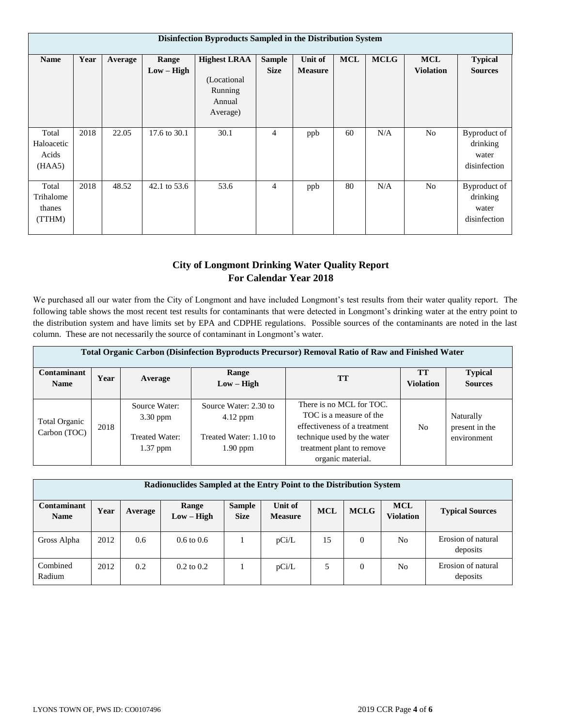|                                        | Disinfection Byproducts Sampled in the Distribution System |         |                       |                                                                      |                              |                                  |            |             |                                |                                                   |  |  |  |
|----------------------------------------|------------------------------------------------------------|---------|-----------------------|----------------------------------------------------------------------|------------------------------|----------------------------------|------------|-------------|--------------------------------|---------------------------------------------------|--|--|--|
| <b>Name</b>                            | Year                                                       | Average | Range<br>$Low - High$ | <b>Highest LRAA</b><br>(Locational)<br>Running<br>Annual<br>Average) | <b>Sample</b><br><b>Size</b> | <b>Unit of</b><br><b>Measure</b> | <b>MCL</b> | <b>MCLG</b> | <b>MCL</b><br><b>Violation</b> | <b>Typical</b><br><b>Sources</b>                  |  |  |  |
| Total<br>Haloacetic<br>Acids<br>(HAA5) | 2018                                                       | 22.05   | 17.6 to 30.1          | 30.1                                                                 | 4                            | ppb                              | 60         | N/A         | No                             | Byproduct of<br>drinking<br>water<br>disinfection |  |  |  |
| Total<br>Trihalome<br>thanes<br>(TTHM) | 2018                                                       | 48.52   | 42.1 to 53.6          | 53.6                                                                 | 4                            | ppb                              | 80         | N/A         | No                             | Byproduct of<br>drinking<br>water<br>disinfection |  |  |  |

# **City of Longmont Drinking Water Quality Report For Calendar Year 2018**

We purchased all our water from the City of Longmont and have included Longmont's test results from their water quality report. The following table shows the most recent test results for contaminants that were detected in Longmont's drinking water at the entry point to the distribution system and have limits set by EPA and CDPHE regulations. Possible sources of the contaminants are noted in the last column. These are not necessarily the source of contaminant in Longmont's water.

|                               | Total Organic Carbon (Disinfection Byproducts Precursor) Removal Ratio of Raw and Finished Water |                                               |                                                               |                                                                                                                    |                               |                                            |  |  |  |  |  |  |
|-------------------------------|--------------------------------------------------------------------------------------------------|-----------------------------------------------|---------------------------------------------------------------|--------------------------------------------------------------------------------------------------------------------|-------------------------------|--------------------------------------------|--|--|--|--|--|--|
| Contaminant<br><b>Name</b>    | Year                                                                                             | Average                                       | Range<br>$Low - High$                                         | <b>TT</b>                                                                                                          | <b>TT</b><br><b>Violation</b> | <b>Typical</b><br><b>Sources</b>           |  |  |  |  |  |  |
| Total Organic<br>Carbon (TOC) | 2018                                                                                             | Source Water:<br>$3.30$ ppm<br>Treated Water: | Source Water: 2.30 to<br>$4.12$ ppm<br>Treated Water: 1.10 to | There is no MCL for TOC.<br>TOC is a measure of the<br>effectiveness of a treatment<br>technique used by the water | N <sub>0</sub>                | Naturally<br>present in the<br>environment |  |  |  |  |  |  |
|                               |                                                                                                  | $1.37$ ppm                                    | $1.90$ ppm                                                    | treatment plant to remove<br>organic material.                                                                     |                               |                                            |  |  |  |  |  |  |

| Radionuclides Sampled at the Entry Point to the Distribution System |      |         |                       |                              |                           |            |                |                                |                                |  |
|---------------------------------------------------------------------|------|---------|-----------------------|------------------------------|---------------------------|------------|----------------|--------------------------------|--------------------------------|--|
| <b>Contaminant</b><br><b>Name</b>                                   | Year | Average | Range<br>$Low - High$ | <b>Sample</b><br><b>Size</b> | Unit of<br><b>Measure</b> | <b>MCL</b> | <b>MCLG</b>    | <b>MCL</b><br><b>Violation</b> | <b>Typical Sources</b>         |  |
| Gross Alpha                                                         | 2012 | 0.6     | $0.6 \text{ to } 0.6$ |                              | pCi/L                     | 15         | 0              | N <sub>0</sub>                 | Erosion of natural<br>deposits |  |
| Combined<br>Radium                                                  | 2012 | 0.2     | $0.2 \text{ to } 0.2$ |                              | pCi/L                     | 5          | $\overline{0}$ | N <sub>o</sub>                 | Erosion of natural<br>deposits |  |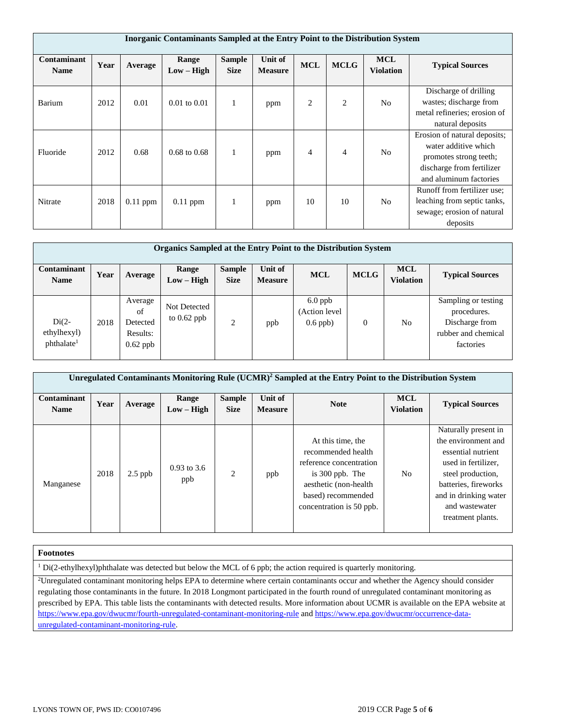|                                   | Inorganic Contaminants Sampled at the Entry Point to the Distribution System |            |                         |                              |                           |                |                |                                |                                                                                                                                       |  |  |  |
|-----------------------------------|------------------------------------------------------------------------------|------------|-------------------------|------------------------------|---------------------------|----------------|----------------|--------------------------------|---------------------------------------------------------------------------------------------------------------------------------------|--|--|--|
| <b>Contaminant</b><br><b>Name</b> | Year                                                                         | Average    | Range<br>$Low - High$   | <b>Sample</b><br><b>Size</b> | Unit of<br><b>Measure</b> | <b>MCL</b>     | <b>MCLG</b>    | <b>MCL</b><br><b>Violation</b> | <b>Typical Sources</b>                                                                                                                |  |  |  |
| Barium                            | 2012                                                                         | 0.01       | $0.01$ to $0.01$        | 1                            | ppm                       | 2              | $\overline{2}$ | N <sub>o</sub>                 | Discharge of drilling<br>wastes; discharge from<br>metal refineries; erosion of<br>natural deposits                                   |  |  |  |
| Fluoride                          | 2012                                                                         | 0.68       | $0.68 \text{ to } 0.68$ | 1                            | ppm                       | $\overline{4}$ | $\overline{4}$ | N <sub>o</sub>                 | Erosion of natural deposits;<br>water additive which<br>promotes strong teeth;<br>discharge from fertilizer<br>and aluminum factories |  |  |  |
| Nitrate                           | 2018                                                                         | $0.11$ ppm | $0.11$ ppm              |                              | ppm                       | 10             | 10             | N <sub>o</sub>                 | Runoff from fertilizer use:<br>leaching from septic tanks,<br>sewage; erosion of natural<br>deposits                                  |  |  |  |

| Organics Sampled at the Entry Point to the Distribution System |      |                                                     |                               |                              |                                  |                                          |                |                                |                                                                                          |  |  |
|----------------------------------------------------------------|------|-----------------------------------------------------|-------------------------------|------------------------------|----------------------------------|------------------------------------------|----------------|--------------------------------|------------------------------------------------------------------------------------------|--|--|
| <b>Contaminant</b><br><b>Name</b>                              | Year | Average                                             | Range<br>$Low - High$         | <b>Sample</b><br><b>Size</b> | <b>Unit of</b><br><b>Measure</b> | <b>MCL</b>                               | <b>MCLG</b>    | <b>MCL</b><br><b>Violation</b> | <b>Typical Sources</b>                                                                   |  |  |
| $Di(2-$<br>ethylhexyl)<br>phthalate <sup>1</sup>               | 2018 | Average<br>of<br>Detected<br>Results:<br>$0.62$ ppb | Not Detected<br>to $0.62$ ppb | $\overline{2}$               | ppb                              | $6.0$ ppb<br>(Action level<br>$0.6$ ppb) | $\overline{0}$ | N <sub>o</sub>                 | Sampling or testing<br>procedures.<br>Discharge from<br>rubber and chemical<br>factories |  |  |

| Unregulated Contaminants Monitoring Rule (UCMR) <sup>2</sup> Sampled at the Entry Point to the Distribution System |      |           |                       |                              |                           |                                                                                                                                                                     |                                |                                                                                                                                                                                                       |  |  |  |
|--------------------------------------------------------------------------------------------------------------------|------|-----------|-----------------------|------------------------------|---------------------------|---------------------------------------------------------------------------------------------------------------------------------------------------------------------|--------------------------------|-------------------------------------------------------------------------------------------------------------------------------------------------------------------------------------------------------|--|--|--|
| <b>Contaminant</b><br><b>Name</b>                                                                                  | Year | Average   | Range<br>$Low - High$ | <b>Sample</b><br><b>Size</b> | Unit of<br><b>Measure</b> | <b>Note</b>                                                                                                                                                         | <b>MCL</b><br><b>Violation</b> | <b>Typical Sources</b>                                                                                                                                                                                |  |  |  |
| Manganese                                                                                                          | 2018 | $2.5$ ppb | $0.93$ to 3.6<br>ppb  | $\mathfrak{D}$               | ppb                       | At this time, the<br>recommended health<br>reference concentration<br>is $300$ ppb. The<br>aesthetic (non-health)<br>based) recommended<br>concentration is 50 ppb. | No.                            | Naturally present in<br>the environment and<br>essential nutrient<br>used in fertilizer,<br>steel production,<br>batteries, fireworks<br>and in drinking water<br>and wastewater<br>treatment plants. |  |  |  |

### **Footnotes**

<sup>1</sup> Di(2-ethylhexyl)phthalate was detected but below the MCL of 6 ppb; the action required is quarterly monitoring.

<sup>2</sup>Unregulated contaminant monitoring helps EPA to determine where certain contaminants occur and whether the Agency should consider regulating those contaminants in the future. In 2018 Longmont participated in the fourth round of unregulated contaminant monitoring as prescribed by EPA. This table lists the contaminants with detected results. More information about UCMR is available on the EPA website at <https://www.epa.gov/dwucmr/fourth-unregulated-contaminant-monitoring-rule> an[d https://www.epa.gov/dwucmr/occurrence-data](https://www.epa.gov/dwucmr/occurrence-data-unregulated-contaminant-monitoring-rule)[unregulated-contaminant-monitoring-rule.](https://www.epa.gov/dwucmr/occurrence-data-unregulated-contaminant-monitoring-rule)